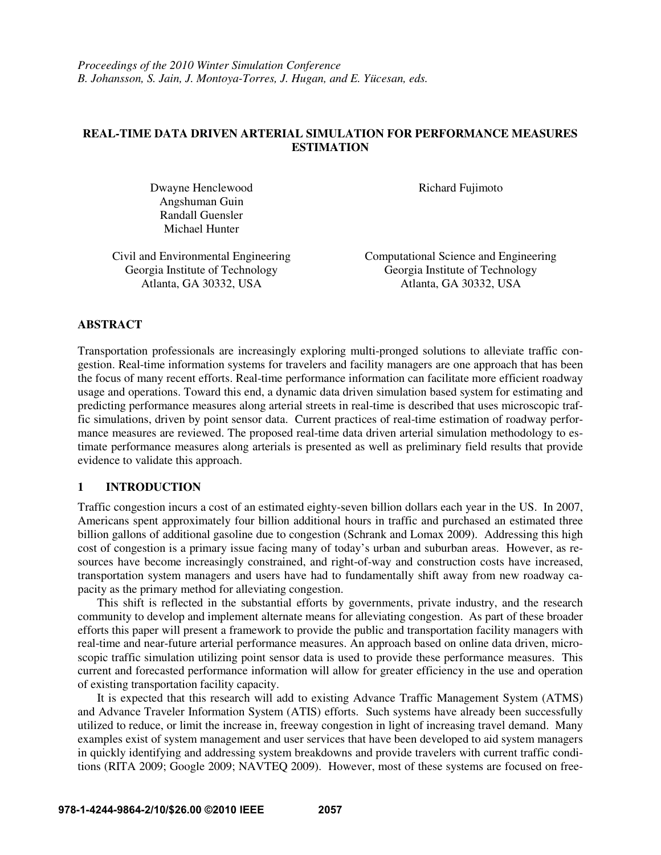## **REAL-TIME DATA DRIVEN ARTERIAL SIMULATION FOR PERFORMANCE MEASURES ESTIMATION**

Dwayne Henclewood **Richard Fujimoto** Richard Fujimoto Angshuman Guin Randall Guensler Michael Hunter

Civil and Environmental Engineering Computational Science and Engineering Georgia Institute of Technology Atlanta, GA 30332, USA

Georgia Institute of Technology Atlanta, GA 30332, USA

### **ABSTRACT**

Transportation professionals are increasingly exploring multi-pronged solutions to alleviate traffic congestion. Real-time information systems for travelers and facility managers are one approach that has been the focus of many recent efforts. Real-time performance information can facilitate more efficient roadway usage and operations. Toward this end, a dynamic data driven simulation based system for estimating and predicting performance measures along arterial streets in real-time is described that uses microscopic traffic simulations, driven by point sensor data. Current practices of real-time estimation of roadway performance measures are reviewed. The proposed real-time data driven arterial simulation methodology to estimate performance measures along arterials is presented as well as preliminary field results that provide evidence to validate this approach.

## **1 INTRODUCTION**

Traffic congestion incurs a cost of an estimated eighty-seven billion dollars each year in the US. In 2007, Americans spent approximately four billion additional hours in traffic and purchased an estimated three billion gallons of additional gasoline due to congestion (Schrank and Lomax 2009). Addressing this high cost of congestion is a primary issue facing many of today's urban and suburban areas. However, as resources have become increasingly constrained, and right-of-way and construction costs have increased, transportation system managers and users have had to fundamentally shift away from new roadway capacity as the primary method for alleviating congestion.

 This shift is reflected in the substantial efforts by governments, private industry, and the research community to develop and implement alternate means for alleviating congestion. As part of these broader efforts this paper will present a framework to provide the public and transportation facility managers with real-time and near-future arterial performance measures. An approach based on online data driven, microscopic traffic simulation utilizing point sensor data is used to provide these performance measures. This current and forecasted performance information will allow for greater efficiency in the use and operation of existing transportation facility capacity.

It is expected that this research will add to existing Advance Traffic Management System (ATMS) and Advance Traveler Information System (ATIS) efforts. Such systems have already been successfully utilized to reduce, or limit the increase in, freeway congestion in light of increasing travel demand. Many examples exist of system management and user services that have been developed to aid system managers in quickly identifying and addressing system breakdowns and provide travelers with current traffic conditions (RITA 2009; Google 2009; NAVTEQ 2009). However, most of these systems are focused on free-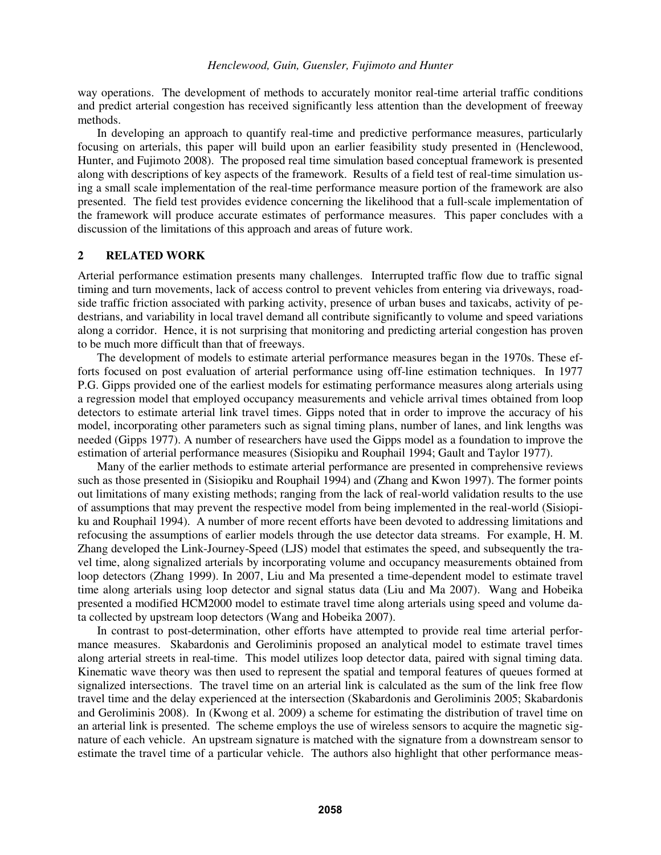way operations. The development of methods to accurately monitor real-time arterial traffic conditions and predict arterial congestion has received significantly less attention than the development of freeway methods.

In developing an approach to quantify real-time and predictive performance measures, particularly focusing on arterials, this paper will build upon an earlier feasibility study presented in (Henclewood, Hunter, and Fujimoto 2008). The proposed real time simulation based conceptual framework is presented along with descriptions of key aspects of the framework. Results of a field test of real-time simulation using a small scale implementation of the real-time performance measure portion of the framework are also presented. The field test provides evidence concerning the likelihood that a full-scale implementation of the framework will produce accurate estimates of performance measures. This paper concludes with a discussion of the limitations of this approach and areas of future work.

## **2 RELATED WORK**

Arterial performance estimation presents many challenges. Interrupted traffic flow due to traffic signal timing and turn movements, lack of access control to prevent vehicles from entering via driveways, roadside traffic friction associated with parking activity, presence of urban buses and taxicabs, activity of pedestrians, and variability in local travel demand all contribute significantly to volume and speed variations along a corridor. Hence, it is not surprising that monitoring and predicting arterial congestion has proven to be much more difficult than that of freeways.

 The development of models to estimate arterial performance measures began in the 1970s. These efforts focused on post evaluation of arterial performance using off-line estimation techniques. In 1977 P.G. Gipps provided one of the earliest models for estimating performance measures along arterials using a regression model that employed occupancy measurements and vehicle arrival times obtained from loop detectors to estimate arterial link travel times. Gipps noted that in order to improve the accuracy of his model, incorporating other parameters such as signal timing plans, number of lanes, and link lengths was needed (Gipps 1977). A number of researchers have used the Gipps model as a foundation to improve the estimation of arterial performance measures (Sisiopiku and Rouphail 1994; Gault and Taylor 1977).

Many of the earlier methods to estimate arterial performance are presented in comprehensive reviews such as those presented in (Sisiopiku and Rouphail 1994) and (Zhang and Kwon 1997). The former points out limitations of many existing methods; ranging from the lack of real-world validation results to the use of assumptions that may prevent the respective model from being implemented in the real-world (Sisiopiku and Rouphail 1994). A number of more recent efforts have been devoted to addressing limitations and refocusing the assumptions of earlier models through the use detector data streams. For example, H. M. Zhang developed the Link-Journey-Speed (LJS) model that estimates the speed, and subsequently the travel time, along signalized arterials by incorporating volume and occupancy measurements obtained from loop detectors (Zhang 1999). In 2007, Liu and Ma presented a time-dependent model to estimate travel time along arterials using loop detector and signal status data (Liu and Ma 2007). Wang and Hobeika presented a modified HCM2000 model to estimate travel time along arterials using speed and volume data collected by upstream loop detectors (Wang and Hobeika 2007).

In contrast to post-determination, other efforts have attempted to provide real time arterial performance measures. Skabardonis and Geroliminis proposed an analytical model to estimate travel times along arterial streets in real-time. This model utilizes loop detector data, paired with signal timing data. Kinematic wave theory was then used to represent the spatial and temporal features of queues formed at signalized intersections. The travel time on an arterial link is calculated as the sum of the link free flow travel time and the delay experienced at the intersection (Skabardonis and Geroliminis 2005; Skabardonis and Geroliminis 2008). In (Kwong et al. 2009) a scheme for estimating the distribution of travel time on an arterial link is presented. The scheme employs the use of wireless sensors to acquire the magnetic signature of each vehicle. An upstream signature is matched with the signature from a downstream sensor to estimate the travel time of a particular vehicle. The authors also highlight that other performance meas-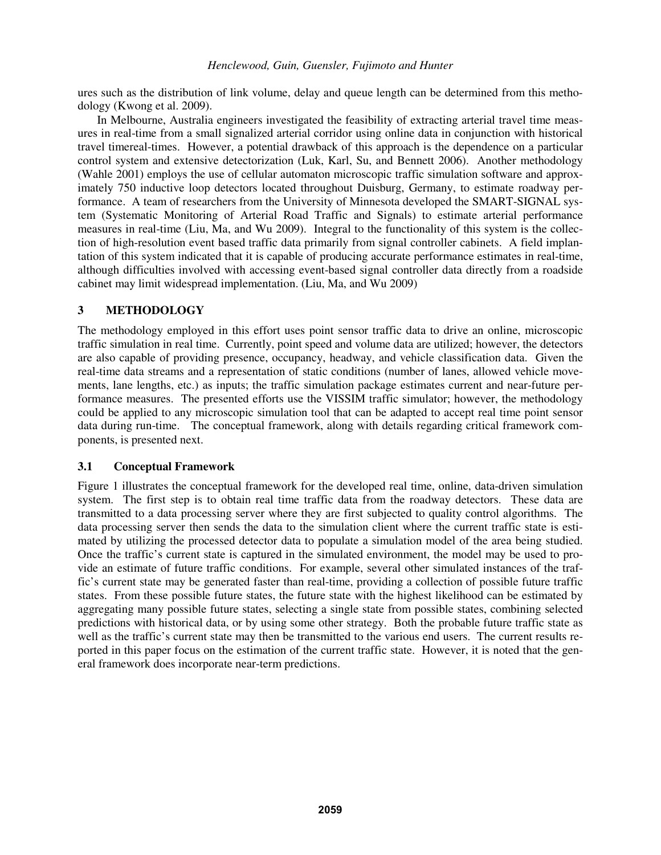ures such as the distribution of link volume, delay and queue length can be determined from this methodology (Kwong et al. 2009).

In Melbourne, Australia engineers investigated the feasibility of extracting arterial travel time measures in real-time from a small signalized arterial corridor using online data in conjunction with historical travel timereal-times. However, a potential drawback of this approach is the dependence on a particular control system and extensive detectorization (Luk, Karl, Su, and Bennett 2006). Another methodology (Wahle 2001) employs the use of cellular automaton microscopic traffic simulation software and approximately 750 inductive loop detectors located throughout Duisburg, Germany, to estimate roadway performance. A team of researchers from the University of Minnesota developed the SMART-SIGNAL system (Systematic Monitoring of Arterial Road Traffic and Signals) to estimate arterial performance measures in real-time (Liu, Ma, and Wu 2009). Integral to the functionality of this system is the collection of high-resolution event based traffic data primarily from signal controller cabinets. A field implantation of this system indicated that it is capable of producing accurate performance estimates in real-time, although difficulties involved with accessing event-based signal controller data directly from a roadside cabinet may limit widespread implementation. (Liu, Ma, and Wu 2009)

## **3 METHODOLOGY**

The methodology employed in this effort uses point sensor traffic data to drive an online, microscopic traffic simulation in real time. Currently, point speed and volume data are utilized; however, the detectors are also capable of providing presence, occupancy, headway, and vehicle classification data. Given the real-time data streams and a representation of static conditions (number of lanes, allowed vehicle movements, lane lengths, etc.) as inputs; the traffic simulation package estimates current and near-future performance measures. The presented efforts use the VISSIM traffic simulator; however, the methodology could be applied to any microscopic simulation tool that can be adapted to accept real time point sensor data during run-time. The conceptual framework, along with details regarding critical framework components, is presented next.

## **3.1 Conceptual Framework**

Figure 1 illustrates the conceptual framework for the developed real time, online, data-driven simulation system. The first step is to obtain real time traffic data from the roadway detectors. These data are transmitted to a data processing server where they are first subjected to quality control algorithms. The data processing server then sends the data to the simulation client where the current traffic state is estimated by utilizing the processed detector data to populate a simulation model of the area being studied. Once the traffic's current state is captured in the simulated environment, the model may be used to provide an estimate of future traffic conditions. For example, several other simulated instances of the traffic's current state may be generated faster than real-time, providing a collection of possible future traffic states. From these possible future states, the future state with the highest likelihood can be estimated by aggregating many possible future states, selecting a single state from possible states, combining selected predictions with historical data, or by using some other strategy. Both the probable future traffic state as well as the traffic's current state may then be transmitted to the various end users. The current results reported in this paper focus on the estimation of the current traffic state. However, it is noted that the general framework does incorporate near-term predictions.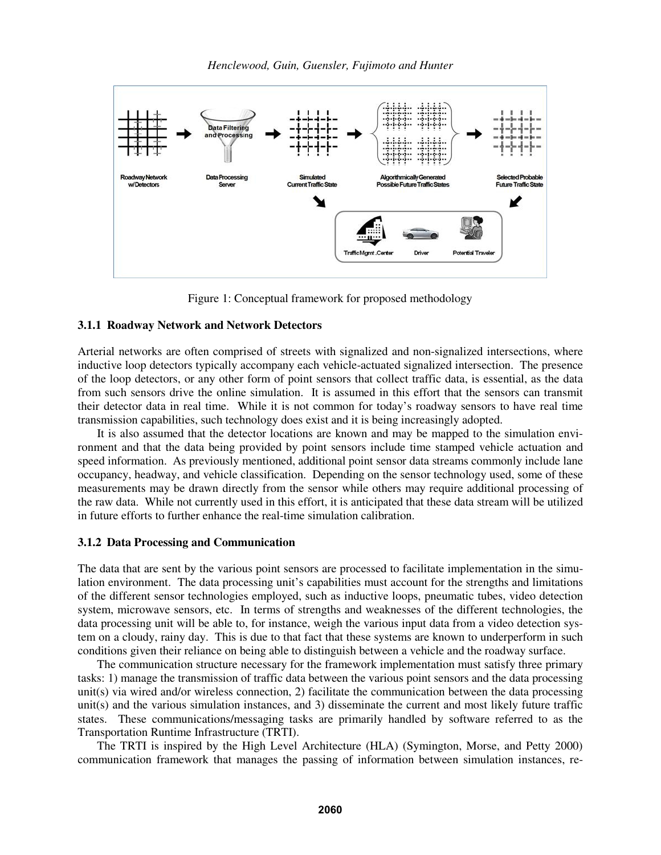

Figure 1: Conceptual framework for proposed methodology

#### **3.1.1 Roadway Network and Network Detectors**

Arterial networks are often comprised of streets with signalized and non-signalized intersections, where inductive loop detectors typically accompany each vehicle-actuated signalized intersection. The presence of the loop detectors, or any other form of point sensors that collect traffic data, is essential, as the data from such sensors drive the online simulation. It is assumed in this effort that the sensors can transmit their detector data in real time. While it is not common for today's roadway sensors to have real time transmission capabilities, such technology does exist and it is being increasingly adopted.

 It is also assumed that the detector locations are known and may be mapped to the simulation environment and that the data being provided by point sensors include time stamped vehicle actuation and speed information. As previously mentioned, additional point sensor data streams commonly include lane occupancy, headway, and vehicle classification. Depending on the sensor technology used, some of these measurements may be drawn directly from the sensor while others may require additional processing of the raw data. While not currently used in this effort, it is anticipated that these data stream will be utilized in future efforts to further enhance the real-time simulation calibration.

#### **3.1.2 Data Processing and Communication**

The data that are sent by the various point sensors are processed to facilitate implementation in the simulation environment. The data processing unit's capabilities must account for the strengths and limitations of the different sensor technologies employed, such as inductive loops, pneumatic tubes, video detection system, microwave sensors, etc. In terms of strengths and weaknesses of the different technologies, the data processing unit will be able to, for instance, weigh the various input data from a video detection system on a cloudy, rainy day. This is due to that fact that these systems are known to underperform in such conditions given their reliance on being able to distinguish between a vehicle and the roadway surface.

The communication structure necessary for the framework implementation must satisfy three primary tasks: 1) manage the transmission of traffic data between the various point sensors and the data processing unit(s) via wired and/or wireless connection, 2) facilitate the communication between the data processing unit(s) and the various simulation instances, and 3) disseminate the current and most likely future traffic states. These communications/messaging tasks are primarily handled by software referred to as the Transportation Runtime Infrastructure (TRTI).

The TRTI is inspired by the High Level Architecture (HLA) (Symington, Morse, and Petty 2000) communication framework that manages the passing of information between simulation instances, re-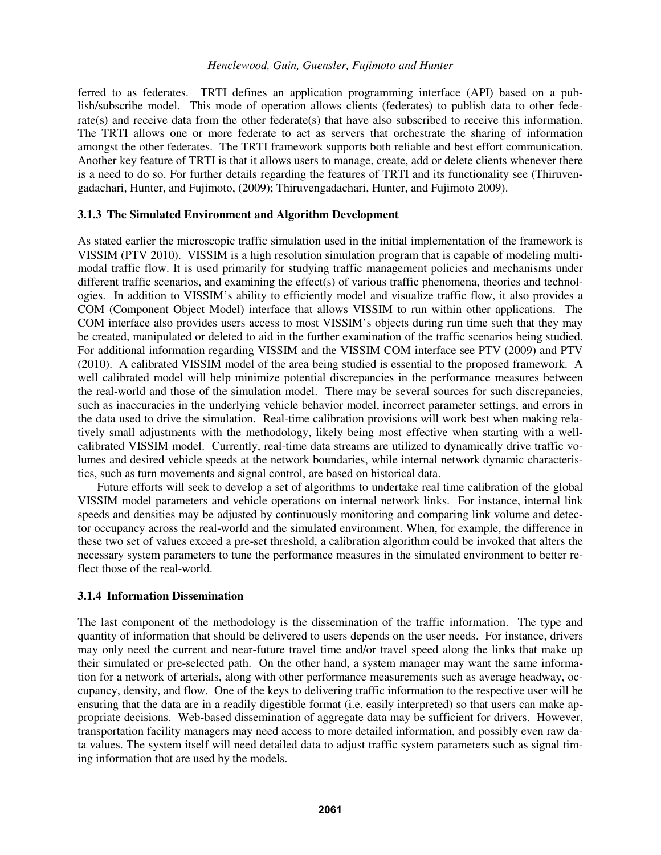ferred to as federates. TRTI defines an application programming interface (API) based on a publish/subscribe model. This mode of operation allows clients (federates) to publish data to other federate(s) and receive data from the other federate(s) that have also subscribed to receive this information. The TRTI allows one or more federate to act as servers that orchestrate the sharing of information amongst the other federates. The TRTI framework supports both reliable and best effort communication. Another key feature of TRTI is that it allows users to manage, create, add or delete clients whenever there is a need to do so. For further details regarding the features of TRTI and its functionality see (Thiruvengadachari, Hunter, and Fujimoto, (2009); Thiruvengadachari, Hunter, and Fujimoto 2009).

## **3.1.3 The Simulated Environment and Algorithm Development**

As stated earlier the microscopic traffic simulation used in the initial implementation of the framework is VISSIM (PTV 2010). VISSIM is a high resolution simulation program that is capable of modeling multimodal traffic flow. It is used primarily for studying traffic management policies and mechanisms under different traffic scenarios, and examining the effect(s) of various traffic phenomena, theories and technologies. In addition to VISSIM's ability to efficiently model and visualize traffic flow, it also provides a COM (Component Object Model) interface that allows VISSIM to run within other applications. The COM interface also provides users access to most VISSIM's objects during run time such that they may be created, manipulated or deleted to aid in the further examination of the traffic scenarios being studied. For additional information regarding VISSIM and the VISSIM COM interface see PTV (2009) and PTV (2010). A calibrated VISSIM model of the area being studied is essential to the proposed framework. A well calibrated model will help minimize potential discrepancies in the performance measures between the real-world and those of the simulation model. There may be several sources for such discrepancies, such as inaccuracies in the underlying vehicle behavior model, incorrect parameter settings, and errors in the data used to drive the simulation. Real-time calibration provisions will work best when making relatively small adjustments with the methodology, likely being most effective when starting with a wellcalibrated VISSIM model. Currently, real-time data streams are utilized to dynamically drive traffic volumes and desired vehicle speeds at the network boundaries, while internal network dynamic characteristics, such as turn movements and signal control, are based on historical data.

Future efforts will seek to develop a set of algorithms to undertake real time calibration of the global VISSIM model parameters and vehicle operations on internal network links. For instance, internal link speeds and densities may be adjusted by continuously monitoring and comparing link volume and detector occupancy across the real-world and the simulated environment. When, for example, the difference in these two set of values exceed a pre-set threshold, a calibration algorithm could be invoked that alters the necessary system parameters to tune the performance measures in the simulated environment to better reflect those of the real-world.

### **3.1.4 Information Dissemination**

The last component of the methodology is the dissemination of the traffic information. The type and quantity of information that should be delivered to users depends on the user needs. For instance, drivers may only need the current and near-future travel time and/or travel speed along the links that make up their simulated or pre-selected path. On the other hand, a system manager may want the same information for a network of arterials, along with other performance measurements such as average headway, occupancy, density, and flow. One of the keys to delivering traffic information to the respective user will be ensuring that the data are in a readily digestible format (i.e. easily interpreted) so that users can make appropriate decisions. Web-based dissemination of aggregate data may be sufficient for drivers. However, transportation facility managers may need access to more detailed information, and possibly even raw data values. The system itself will need detailed data to adjust traffic system parameters such as signal timing information that are used by the models.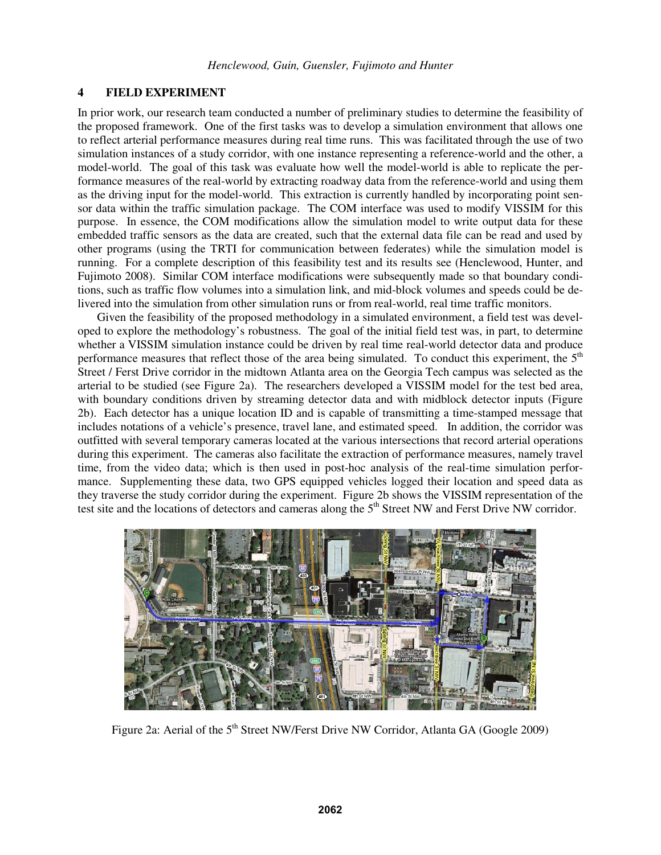## **4 FIELD EXPERIMENT**

In prior work, our research team conducted a number of preliminary studies to determine the feasibility of the proposed framework. One of the first tasks was to develop a simulation environment that allows one to reflect arterial performance measures during real time runs. This was facilitated through the use of two simulation instances of a study corridor, with one instance representing a reference-world and the other, a model-world. The goal of this task was evaluate how well the model-world is able to replicate the performance measures of the real-world by extracting roadway data from the reference-world and using them as the driving input for the model-world. This extraction is currently handled by incorporating point sensor data within the traffic simulation package. The COM interface was used to modify VISSIM for this purpose. In essence, the COM modifications allow the simulation model to write output data for these embedded traffic sensors as the data are created, such that the external data file can be read and used by other programs (using the TRTI for communication between federates) while the simulation model is running. For a complete description of this feasibility test and its results see (Henclewood, Hunter, and Fujimoto 2008). Similar COM interface modifications were subsequently made so that boundary conditions, such as traffic flow volumes into a simulation link, and mid-block volumes and speeds could be delivered into the simulation from other simulation runs or from real-world, real time traffic monitors.

 Given the feasibility of the proposed methodology in a simulated environment, a field test was developed to explore the methodology's robustness. The goal of the initial field test was, in part, to determine whether a VISSIM simulation instance could be driven by real time real-world detector data and produce performance measures that reflect those of the area being simulated. To conduct this experiment, the  $5<sup>th</sup>$ Street / Ferst Drive corridor in the midtown Atlanta area on the Georgia Tech campus was selected as the arterial to be studied (see Figure 2a). The researchers developed a VISSIM model for the test bed area, with boundary conditions driven by streaming detector data and with midblock detector inputs (Figure 2b). Each detector has a unique location ID and is capable of transmitting a time-stamped message that includes notations of a vehicle's presence, travel lane, and estimated speed. In addition, the corridor was outfitted with several temporary cameras located at the various intersections that record arterial operations during this experiment. The cameras also facilitate the extraction of performance measures, namely travel time, from the video data; which is then used in post-hoc analysis of the real-time simulation performance. Supplementing these data, two GPS equipped vehicles logged their location and speed data as they traverse the study corridor during the experiment. Figure 2b shows the VISSIM representation of the test site and the locations of detectors and cameras along the 5<sup>th</sup> Street NW and Ferst Drive NW corridor.



Figure 2a: Aerial of the  $5<sup>th</sup>$  Street NW/Ferst Drive NW Corridor, Atlanta GA (Google 2009)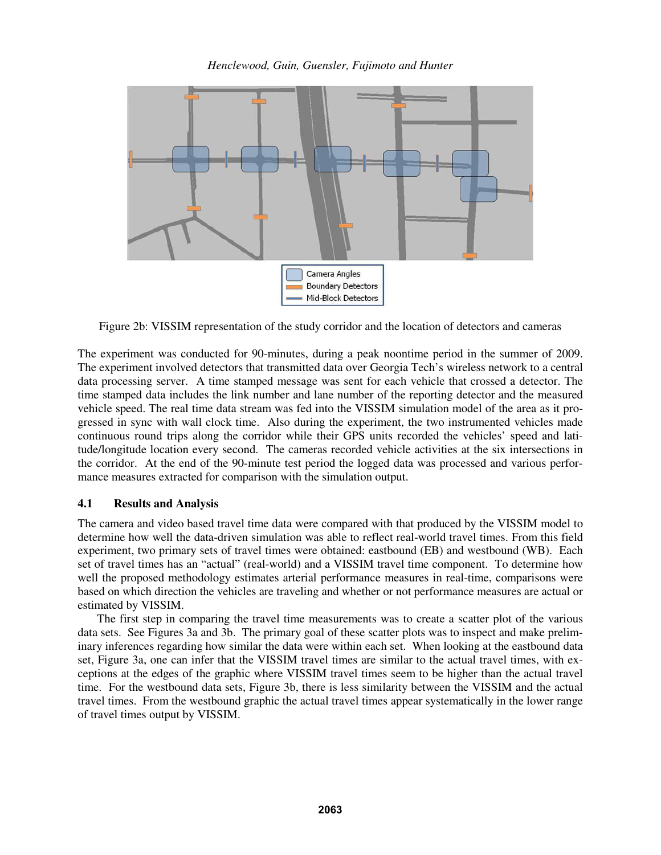*Henclewood, Guin, Guensler, Fujimoto and Hunter* 



Figure 2b: VISSIM representation of the study corridor and the location of detectors and cameras

The experiment was conducted for 90-minutes, during a peak noontime period in the summer of 2009. The experiment involved detectors that transmitted data over Georgia Tech's wireless network to a central data processing server. A time stamped message was sent for each vehicle that crossed a detector. The time stamped data includes the link number and lane number of the reporting detector and the measured vehicle speed. The real time data stream was fed into the VISSIM simulation model of the area as it progressed in sync with wall clock time. Also during the experiment, the two instrumented vehicles made continuous round trips along the corridor while their GPS units recorded the vehicles' speed and latitude/longitude location every second. The cameras recorded vehicle activities at the six intersections in the corridor. At the end of the 90-minute test period the logged data was processed and various performance measures extracted for comparison with the simulation output.

# **4.1 Results and Analysis**

The camera and video based travel time data were compared with that produced by the VISSIM model to determine how well the data-driven simulation was able to reflect real-world travel times. From this field experiment, two primary sets of travel times were obtained: eastbound (EB) and westbound (WB). Each set of travel times has an "actual" (real-world) and a VISSIM travel time component. To determine how well the proposed methodology estimates arterial performance measures in real-time, comparisons were based on which direction the vehicles are traveling and whether or not performance measures are actual or estimated by VISSIM.

 The first step in comparing the travel time measurements was to create a scatter plot of the various data sets. See Figures 3a and 3b. The primary goal of these scatter plots was to inspect and make preliminary inferences regarding how similar the data were within each set. When looking at the eastbound data set, Figure 3a, one can infer that the VISSIM travel times are similar to the actual travel times, with exceptions at the edges of the graphic where VISSIM travel times seem to be higher than the actual travel time. For the westbound data sets, Figure 3b, there is less similarity between the VISSIM and the actual travel times. From the westbound graphic the actual travel times appear systematically in the lower range of travel times output by VISSIM.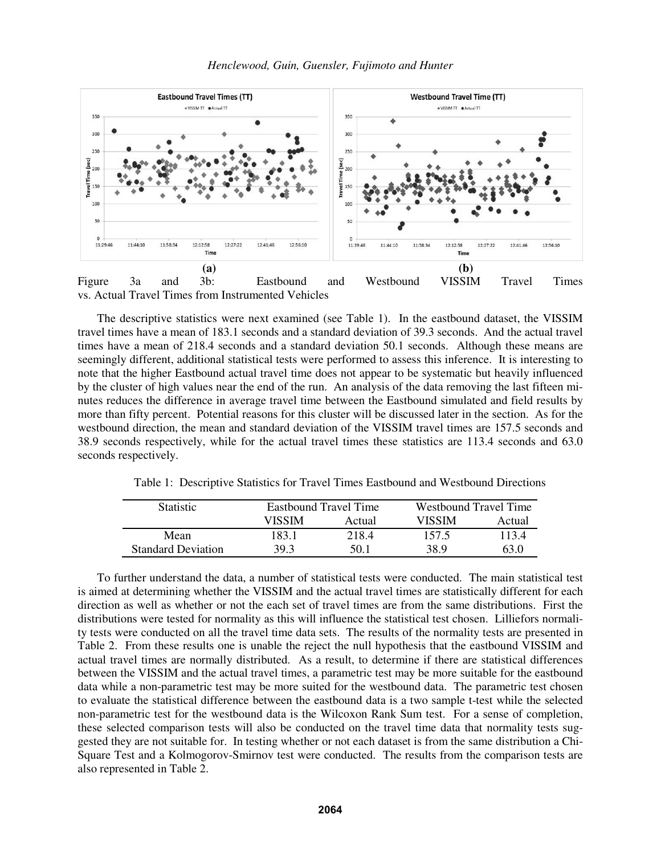



Figure 3a and 3b: Eastbound and Westbound VISSIM Travel Times vs. Actual Travel Times from Instrumented Vehicles

 The descriptive statistics were next examined (see Table 1). In the eastbound dataset, the VISSIM travel times have a mean of 183.1 seconds and a standard deviation of 39.3 seconds. And the actual travel times have a mean of 218.4 seconds and a standard deviation 50.1 seconds. Although these means are seemingly different, additional statistical tests were performed to assess this inference. It is interesting to note that the higher Eastbound actual travel time does not appear to be systematic but heavily influenced by the cluster of high values near the end of the run. An analysis of the data removing the last fifteen minutes reduces the difference in average travel time between the Eastbound simulated and field results by more than fifty percent. Potential reasons for this cluster will be discussed later in the section. As for the westbound direction, the mean and standard deviation of the VISSIM travel times are 157.5 seconds and 38.9 seconds respectively, while for the actual travel times these statistics are 113.4 seconds and 63.0 seconds respectively.

|  |  |  | Table 1: Descriptive Statistics for Travel Times Eastbound and Westbound Directions |
|--|--|--|-------------------------------------------------------------------------------------|
|--|--|--|-------------------------------------------------------------------------------------|

| <b>Statistic</b>          | Eastbound Travel Time |        | Westbound Travel Time |        |
|---------------------------|-----------------------|--------|-----------------------|--------|
|                           | VISSIM                | Actual | VISSIM                | Actual |
| Mean                      | 183.1                 | 218.4  | 157.5                 | 1134   |
| <b>Standard Deviation</b> | 39.3                  | 50 1   | 38 9                  | 63 0   |

 To further understand the data, a number of statistical tests were conducted. The main statistical test is aimed at determining whether the VISSIM and the actual travel times are statistically different for each direction as well as whether or not the each set of travel times are from the same distributions. First the distributions were tested for normality as this will influence the statistical test chosen. Lilliefors normality tests were conducted on all the travel time data sets. The results of the normality tests are presented in Table 2. From these results one is unable the reject the null hypothesis that the eastbound VISSIM and actual travel times are normally distributed. As a result, to determine if there are statistical differences between the VISSIM and the actual travel times, a parametric test may be more suitable for the eastbound data while a non-parametric test may be more suited for the westbound data. The parametric test chosen to evaluate the statistical difference between the eastbound data is a two sample t-test while the selected non-parametric test for the westbound data is the Wilcoxon Rank Sum test. For a sense of completion, these selected comparison tests will also be conducted on the travel time data that normality tests suggested they are not suitable for. In testing whether or not each dataset is from the same distribution a Chi-Square Test and a Kolmogorov-Smirnov test were conducted. The results from the comparison tests are also represented in Table 2.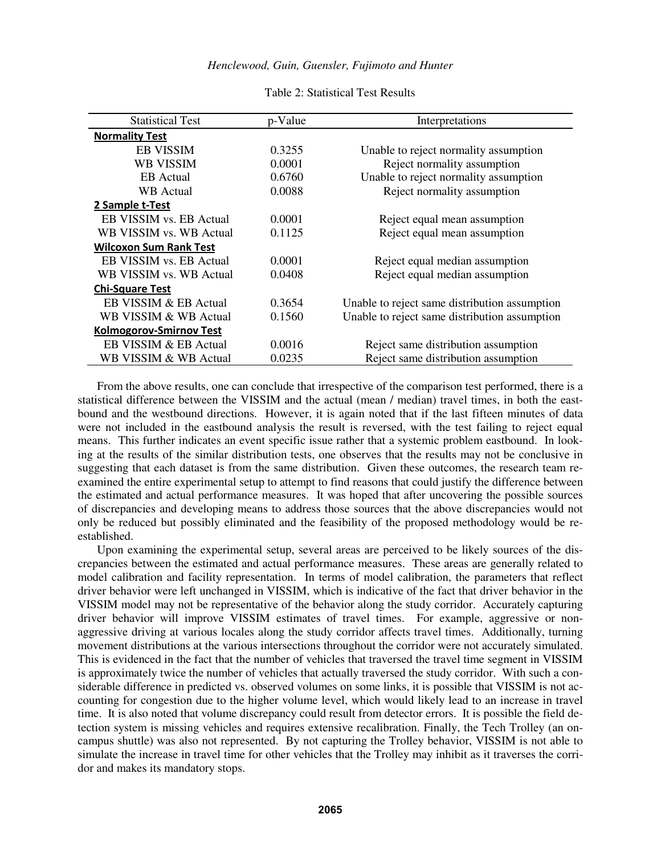| <b>Statistical Test</b>        | p-Value | Interpretations                               |
|--------------------------------|---------|-----------------------------------------------|
| <b>Normality Test</b>          |         |                                               |
| <b>EB VISSIM</b>               | 0.3255  | Unable to reject normality assumption         |
| <b>WB VISSIM</b>               | 0.0001  | Reject normality assumption                   |
| <b>EB</b> Actual               | 0.6760  | Unable to reject normality assumption         |
| <b>WB</b> Actual               | 0.0088  | Reject normality assumption                   |
| 2 Sample t-Test                |         |                                               |
| EB VISSIM vs. EB Actual        | 0.0001  | Reject equal mean assumption                  |
| WB VISSIM vs. WB Actual        | 0.1125  | Reject equal mean assumption                  |
| <b>Wilcoxon Sum Rank Test</b>  |         |                                               |
| <b>EB VISSIM vs. EB Actual</b> | 0.0001  | Reject equal median assumption                |
| WB VISSIM vs. WB Actual        | 0.0408  | Reject equal median assumption                |
| <b>Chi-Square Test</b>         |         |                                               |
| EB VISSIM & EB Actual          | 0.3654  | Unable to reject same distribution assumption |
| WB VISSIM & WB Actual          | 0.1560  | Unable to reject same distribution assumption |
| <b>Kolmogorov-Smirnov Test</b> |         |                                               |
| EB VISSIM & EB Actual          | 0.0016  | Reject same distribution assumption           |
| WB VISSIM & WB Actual          | 0.0235  | Reject same distribution assumption           |

#### Table 2: Statistical Test Results

 From the above results, one can conclude that irrespective of the comparison test performed, there is a statistical difference between the VISSIM and the actual (mean / median) travel times, in both the eastbound and the westbound directions. However, it is again noted that if the last fifteen minutes of data were not included in the eastbound analysis the result is reversed, with the test failing to reject equal means. This further indicates an event specific issue rather that a systemic problem eastbound. In looking at the results of the similar distribution tests, one observes that the results may not be conclusive in suggesting that each dataset is from the same distribution. Given these outcomes, the research team reexamined the entire experimental setup to attempt to find reasons that could justify the difference between the estimated and actual performance measures. It was hoped that after uncovering the possible sources of discrepancies and developing means to address those sources that the above discrepancies would not only be reduced but possibly eliminated and the feasibility of the proposed methodology would be reestablished.

Upon examining the experimental setup, several areas are perceived to be likely sources of the discrepancies between the estimated and actual performance measures. These areas are generally related to model calibration and facility representation. In terms of model calibration, the parameters that reflect driver behavior were left unchanged in VISSIM, which is indicative of the fact that driver behavior in the VISSIM model may not be representative of the behavior along the study corridor. Accurately capturing driver behavior will improve VISSIM estimates of travel times. For example, aggressive or nonaggressive driving at various locales along the study corridor affects travel times. Additionally, turning movement distributions at the various intersections throughout the corridor were not accurately simulated. This is evidenced in the fact that the number of vehicles that traversed the travel time segment in VISSIM is approximately twice the number of vehicles that actually traversed the study corridor. With such a considerable difference in predicted vs. observed volumes on some links, it is possible that VISSIM is not accounting for congestion due to the higher volume level, which would likely lead to an increase in travel time. It is also noted that volume discrepancy could result from detector errors. It is possible the field detection system is missing vehicles and requires extensive recalibration. Finally, the Tech Trolley (an oncampus shuttle) was also not represented. By not capturing the Trolley behavior, VISSIM is not able to simulate the increase in travel time for other vehicles that the Trolley may inhibit as it traverses the corridor and makes its mandatory stops.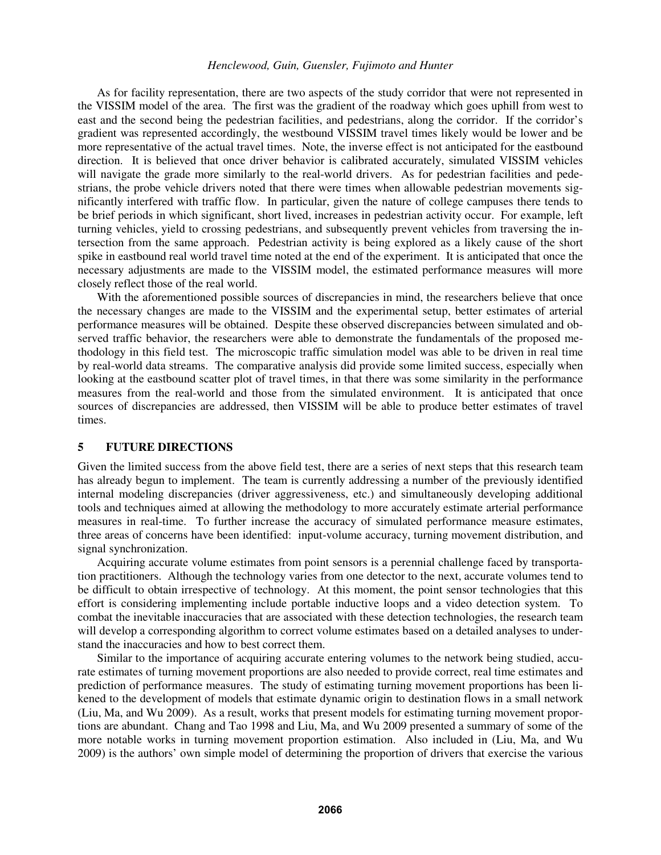As for facility representation, there are two aspects of the study corridor that were not represented in the VISSIM model of the area. The first was the gradient of the roadway which goes uphill from west to east and the second being the pedestrian facilities, and pedestrians, along the corridor. If the corridor's gradient was represented accordingly, the westbound VISSIM travel times likely would be lower and be more representative of the actual travel times. Note, the inverse effect is not anticipated for the eastbound direction. It is believed that once driver behavior is calibrated accurately, simulated VISSIM vehicles will navigate the grade more similarly to the real-world drivers. As for pedestrian facilities and pedestrians, the probe vehicle drivers noted that there were times when allowable pedestrian movements significantly interfered with traffic flow. In particular, given the nature of college campuses there tends to be brief periods in which significant, short lived, increases in pedestrian activity occur. For example, left turning vehicles, yield to crossing pedestrians, and subsequently prevent vehicles from traversing the intersection from the same approach. Pedestrian activity is being explored as a likely cause of the short spike in eastbound real world travel time noted at the end of the experiment. It is anticipated that once the necessary adjustments are made to the VISSIM model, the estimated performance measures will more closely reflect those of the real world.

With the aforementioned possible sources of discrepancies in mind, the researchers believe that once the necessary changes are made to the VISSIM and the experimental setup, better estimates of arterial performance measures will be obtained. Despite these observed discrepancies between simulated and observed traffic behavior, the researchers were able to demonstrate the fundamentals of the proposed methodology in this field test. The microscopic traffic simulation model was able to be driven in real time by real-world data streams. The comparative analysis did provide some limited success, especially when looking at the eastbound scatter plot of travel times, in that there was some similarity in the performance measures from the real-world and those from the simulated environment. It is anticipated that once sources of discrepancies are addressed, then VISSIM will be able to produce better estimates of travel times.

#### **5 FUTURE DIRECTIONS**

Given the limited success from the above field test, there are a series of next steps that this research team has already begun to implement. The team is currently addressing a number of the previously identified internal modeling discrepancies (driver aggressiveness, etc.) and simultaneously developing additional tools and techniques aimed at allowing the methodology to more accurately estimate arterial performance measures in real-time. To further increase the accuracy of simulated performance measure estimates, three areas of concerns have been identified: input-volume accuracy, turning movement distribution, and signal synchronization.

Acquiring accurate volume estimates from point sensors is a perennial challenge faced by transportation practitioners. Although the technology varies from one detector to the next, accurate volumes tend to be difficult to obtain irrespective of technology. At this moment, the point sensor technologies that this effort is considering implementing include portable inductive loops and a video detection system. To combat the inevitable inaccuracies that are associated with these detection technologies, the research team will develop a corresponding algorithm to correct volume estimates based on a detailed analyses to understand the inaccuracies and how to best correct them.

Similar to the importance of acquiring accurate entering volumes to the network being studied, accurate estimates of turning movement proportions are also needed to provide correct, real time estimates and prediction of performance measures. The study of estimating turning movement proportions has been likened to the development of models that estimate dynamic origin to destination flows in a small network (Liu, Ma, and Wu 2009). As a result, works that present models for estimating turning movement proportions are abundant. Chang and Tao 1998 and Liu, Ma, and Wu 2009 presented a summary of some of the more notable works in turning movement proportion estimation. Also included in (Liu, Ma, and Wu 2009) is the authors' own simple model of determining the proportion of drivers that exercise the various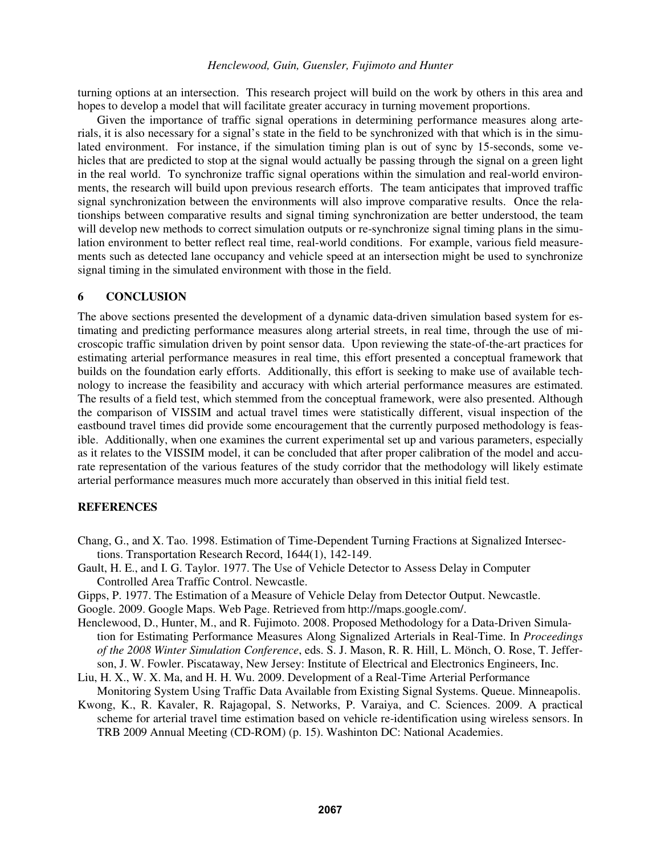turning options at an intersection. This research project will build on the work by others in this area and hopes to develop a model that will facilitate greater accuracy in turning movement proportions.

Given the importance of traffic signal operations in determining performance measures along arterials, it is also necessary for a signal's state in the field to be synchronized with that which is in the simulated environment. For instance, if the simulation timing plan is out of sync by 15-seconds, some vehicles that are predicted to stop at the signal would actually be passing through the signal on a green light in the real world. To synchronize traffic signal operations within the simulation and real-world environments, the research will build upon previous research efforts. The team anticipates that improved traffic signal synchronization between the environments will also improve comparative results. Once the relationships between comparative results and signal timing synchronization are better understood, the team will develop new methods to correct simulation outputs or re-synchronize signal timing plans in the simulation environment to better reflect real time, real-world conditions. For example, various field measurements such as detected lane occupancy and vehicle speed at an intersection might be used to synchronize signal timing in the simulated environment with those in the field.

## **6 CONCLUSION**

The above sections presented the development of a dynamic data-driven simulation based system for estimating and predicting performance measures along arterial streets, in real time, through the use of microscopic traffic simulation driven by point sensor data. Upon reviewing the state-of-the-art practices for estimating arterial performance measures in real time, this effort presented a conceptual framework that builds on the foundation early efforts. Additionally, this effort is seeking to make use of available technology to increase the feasibility and accuracy with which arterial performance measures are estimated. The results of a field test, which stemmed from the conceptual framework, were also presented. Although the comparison of VISSIM and actual travel times were statistically different, visual inspection of the eastbound travel times did provide some encouragement that the currently purposed methodology is feasible. Additionally, when one examines the current experimental set up and various parameters, especially as it relates to the VISSIM model, it can be concluded that after proper calibration of the model and accurate representation of the various features of the study corridor that the methodology will likely estimate arterial performance measures much more accurately than observed in this initial field test.

## **REFERENCES**

- Chang, G., and X. Tao. 1998. Estimation of Time-Dependent Turning Fractions at Signalized Intersec tions. Transportation Research Record, 1644(1), 142-149.
- Gault, H. E., and I. G. Taylor. 1977. The Use of Vehicle Detector to Assess Delay in Computer Controlled Area Traffic Control. Newcastle.
- Gipps, P. 1977. The Estimation of a Measure of Vehicle Delay from Detector Output. Newcastle.

Google. 2009. Google Maps. Web Page. Retrieved from http://maps.google.com/.

- Henclewood, D., Hunter, M., and R. Fujimoto. 2008. Proposed Methodology for a Data-Driven Simula tion for Estimating Performance Measures Along Signalized Arterials in Real-Time. In *Proceedings of the 2008 Winter Simulation Conference*, eds. S. J. Mason, R. R. Hill, L. Mönch, O. Rose, T. Jefferson, J. W. Fowler. Piscataway, New Jersey: Institute of Electrical and Electronics Engineers, Inc.
- Liu, H. X., W. X. Ma, and H. H. Wu. 2009. Development of a Real-Time Arterial Performance Monitoring System Using Traffic Data Available from Existing Signal Systems. Queue. Minneapolis.
- Kwong, K., R. Kavaler, R. Rajagopal, S. Networks, P. Varaiya, and C. Sciences. 2009. A practical scheme for arterial travel time estimation based on vehicle re-identification using wireless sensors. In TRB 2009 Annual Meeting (CD-ROM) (p. 15). Washinton DC: National Academies.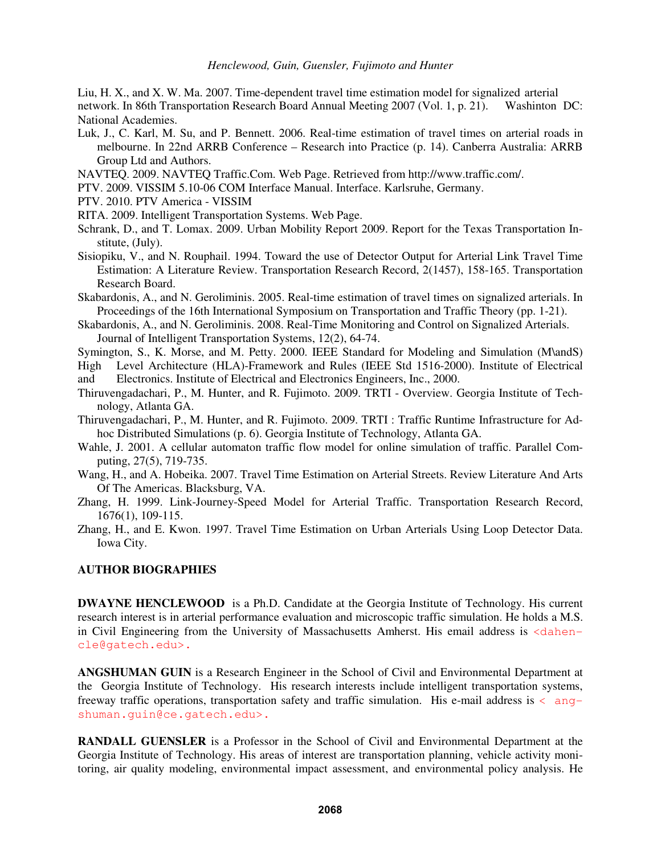Liu, H. X., and X. W. Ma. 2007. Time-dependent travel time estimation model for signalized arterial network. In 86th Transportation Research Board Annual Meeting 2007 (Vol. 1, p. 21). Washinton DC: National Academies.

- Luk, J., C. Karl, M. Su, and P. Bennett. 2006. Real-time estimation of travel times on arterial roads in melbourne. In 22nd ARRB Conference – Research into Practice (p. 14). Canberra Australia: ARRB Group Ltd and Authors.
- NAVTEQ. 2009. NAVTEQ Traffic.Com. Web Page. Retrieved from http://www.traffic.com/.
- PTV. 2009. VISSIM 5.10-06 COM Interface Manual. Interface. Karlsruhe, Germany.
- PTV. 2010. PTV America VISSIM
- RITA. 2009. Intelligent Transportation Systems. Web Page.
- Schrank, D., and T. Lomax. 2009. Urban Mobility Report 2009. Report for the Texas Transportation In stitute, (July).
- Sisiopiku, V., and N. Rouphail. 1994. Toward the use of Detector Output for Arterial Link Travel Time Estimation: A Literature Review. Transportation Research Record, 2(1457), 158-165. Transportation Research Board.
- Skabardonis, A., and N. Geroliminis. 2005. Real-time estimation of travel times on signalized arterials. In Proceedings of the 16th International Symposium on Transportation and Traffic Theory (pp. 1-21).
- Skabardonis, A., and N. Geroliminis. 2008. Real-Time Monitoring and Control on Signalized Arterials. Journal of Intelligent Transportation Systems, 12(2), 64-74.
- Symington, S., K. Morse, and M. Petty. 2000. IEEE Standard for Modeling and Simulation (M\andS)
- High Level Architecture (HLA)-Framework and Rules (IEEE Std 1516-2000). Institute of Electrical and Electronics. Institute of Electrical and Electronics Engineers, Inc., 2000.
- Thiruvengadachari, P., M. Hunter, and R. Fujimoto. 2009. TRTI Overview. Georgia Institute of Tech nology, Atlanta GA.
- Thiruvengadachari, P., M. Hunter, and R. Fujimoto. 2009. TRTI : Traffic Runtime Infrastructure for Ad hoc Distributed Simulations (p. 6). Georgia Institute of Technology, Atlanta GA.
- Wahle, J. 2001. A cellular automaton traffic flow model for online simulation of traffic. Parallel Com puting, 27(5), 719-735.
- Wang, H., and A. Hobeika. 2007. Travel Time Estimation on Arterial Streets. Review Literature And Arts Of The Americas. Blacksburg, VA.
- Zhang, H. 1999. Link-Journey-Speed Model for Arterial Traffic. Transportation Research Record, 1676(1), 109-115.
- Zhang, H., and E. Kwon. 1997. Travel Time Estimation on Urban Arterials Using Loop Detector Data. Iowa City.

## **AUTHOR BIOGRAPHIES**

**DWAYNE HENCLEWOOD** is a Ph.D. Candidate at the Georgia Institute of Technology. His current research interest is in arterial performance evaluation and microscopic traffic simulation. He holds a M.S. in Civil Engineering from the University of Massachusetts Amherst. His email address is <dahencle@gatech.edu>.

**ANGSHUMAN GUIN** is a Research Engineer in the School of Civil and Environmental Department at the Georgia Institute of Technology. His research interests include intelligent transportation systems, freeway traffic operations, transportation safety and traffic simulation. His e-mail address is < angshuman.quin@ce.gatech.edu>.

**RANDALL GUENSLER** is a Professor in the School of Civil and Environmental Department at the Georgia Institute of Technology. His areas of interest are transportation planning, vehicle activity monitoring, air quality modeling, environmental impact assessment, and environmental policy analysis. He